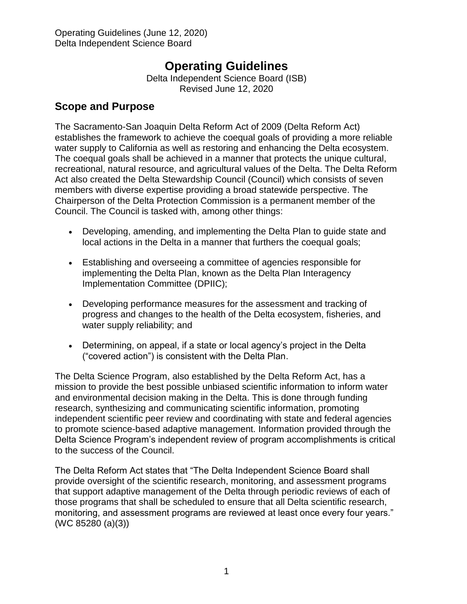# **Operating Guidelines**

Delta Independent Science Board (ISB) Revised June 12, 2020

### **Scope and Purpose**

The Sacramento-San Joaquin Delta Reform Act of 2009 (Delta Reform Act) establishes the framework to achieve the coequal goals of providing a more reliable water supply to California as well as restoring and enhancing the Delta ecosystem. The coequal goals shall be achieved in a manner that protects the unique cultural, recreational, natural resource, and agricultural values of the Delta. The Delta Reform Act also created the Delta Stewardship Council (Council) which consists of seven members with diverse expertise providing a broad statewide perspective. The Chairperson of the Delta Protection Commission is a permanent member of the Council. The Council is tasked with, among other things:

- Developing, amending, and implementing the Delta Plan to guide state and local actions in the Delta in a manner that furthers the coequal goals;
- Establishing and overseeing a committee of agencies responsible for implementing the Delta Plan, known as the Delta Plan Interagency Implementation Committee (DPIIC);
- Developing performance measures for the assessment and tracking of progress and changes to the health of the Delta ecosystem, fisheries, and water supply reliability; and
- Determining, on appeal, if a state or local agency's project in the Delta ("covered action") is consistent with the Delta Plan.

The Delta Science Program, also established by the Delta Reform Act, has a mission to provide the best possible unbiased scientific information to inform water and environmental decision making in the Delta. This is done through funding research, synthesizing and communicating scientific information, promoting independent scientific peer review and coordinating with state and federal agencies to promote science-based adaptive management. Information provided through the Delta Science Program's independent review of program accomplishments is critical to the success of the Council.

The Delta Reform Act states that "The Delta Independent Science Board shall provide oversight of the scientific research, monitoring, and assessment programs that support adaptive management of the Delta through periodic reviews of each of those programs that shall be scheduled to ensure that all Delta scientific research, monitoring, and assessment programs are reviewed at least once every four years." (WC 85280 (a)(3))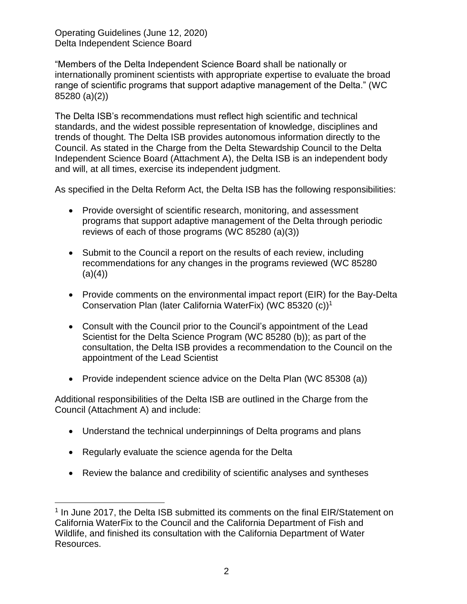"Members of the Delta Independent Science Board shall be nationally or internationally prominent scientists with appropriate expertise to evaluate the broad range of scientific programs that support adaptive management of the Delta." (WC 85280 (a)(2))

The Delta ISB's recommendations must reflect high scientific and technical standards, and the widest possible representation of knowledge, disciplines and trends of thought. The Delta ISB provides autonomous information directly to the Council. As stated in the Charge from the Delta Stewardship Council to the Delta Independent Science Board (Attachment A), the Delta ISB is an independent body and will, at all times, exercise its independent judgment.

As specified in the Delta Reform Act, the Delta ISB has the following responsibilities:

- Provide oversight of scientific research, monitoring, and assessment programs that support adaptive management of the Delta through periodic reviews of each of those programs (WC 85280 (a)(3))
- Submit to the Council a report on the results of each review, including recommendations for any changes in the programs reviewed (WC 85280  $(a)(4)$
- Provide comments on the environmental impact report (EIR) for the Bay-Delta Conservation Plan (later California WaterFix) (WC 85320 (c))<sup>1</sup>
- Consult with the Council prior to the Council's appointment of the Lead Scientist for the Delta Science Program (WC 85280 (b)); as part of the consultation, the Delta ISB provides a recommendation to the Council on the appointment of the Lead Scientist
- Provide independent science advice on the Delta Plan (WC 85308 (a))

Additional responsibilities of the Delta ISB are outlined in the Charge from the Council (Attachment A) and include:

- Understand the technical underpinnings of Delta programs and plans
- Regularly evaluate the science agenda for the Delta

 $\overline{a}$ 

Review the balance and credibility of scientific analyses and syntheses

<sup>&</sup>lt;sup>1</sup> In June 2017, the Delta ISB submitted its comments on the final EIR/Statement on California WaterFix to the Council and the California Department of Fish and Wildlife, and finished its consultation with the California Department of Water Resources.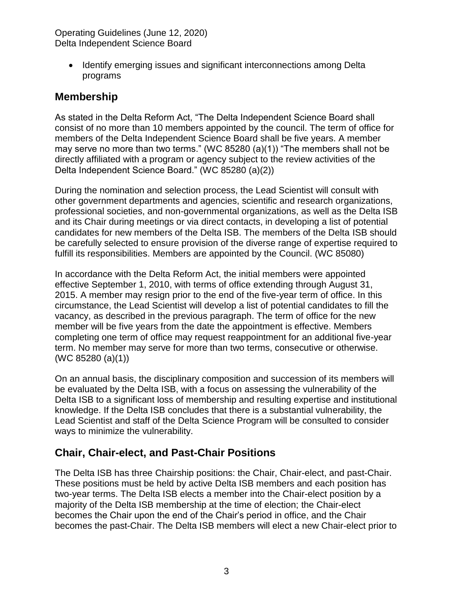• Identify emerging issues and significant interconnections among Delta programs

### **Membership**

As stated in the Delta Reform Act, "The Delta Independent Science Board shall consist of no more than 10 members appointed by the council. The term of office for members of the Delta Independent Science Board shall be five years. A member may serve no more than two terms." (WC 85280 (a)(1)) "The members shall not be directly affiliated with a program or agency subject to the review activities of the Delta Independent Science Board." (WC 85280 (a)(2))

During the nomination and selection process, the Lead Scientist will consult with other government departments and agencies, scientific and research organizations, professional societies, and non-governmental organizations, as well as the Delta ISB and its Chair during meetings or via direct contacts, in developing a list of potential candidates for new members of the Delta ISB. The members of the Delta ISB should be carefully selected to ensure provision of the diverse range of expertise required to fulfill its responsibilities. Members are appointed by the Council. (WC 85080)

In accordance with the Delta Reform Act, the initial members were appointed effective September 1, 2010, with terms of office extending through August 31, 2015. A member may resign prior to the end of the five-year term of office. In this circumstance, the Lead Scientist will develop a list of potential candidates to fill the vacancy, as described in the previous paragraph. The term of office for the new member will be five years from the date the appointment is effective. Members completing one term of office may request reappointment for an additional five-year term. No member may serve for more than two terms, consecutive or otherwise. (WC 85280 (a)(1))

On an annual basis, the disciplinary composition and succession of its members will be evaluated by the Delta ISB, with a focus on assessing the vulnerability of the Delta ISB to a significant loss of membership and resulting expertise and institutional knowledge. If the Delta ISB concludes that there is a substantial vulnerability, the Lead Scientist and staff of the Delta Science Program will be consulted to consider ways to minimize the vulnerability.

## **Chair, Chair-elect, and Past-Chair Positions**

The Delta ISB has three Chairship positions: the Chair, Chair-elect, and past-Chair. These positions must be held by active Delta ISB members and each position has two-year terms. The Delta ISB elects a member into the Chair-elect position by a majority of the Delta ISB membership at the time of election; the Chair-elect becomes the Chair upon the end of the Chair's period in office, and the Chair becomes the past-Chair. The Delta ISB members will elect a new Chair-elect prior to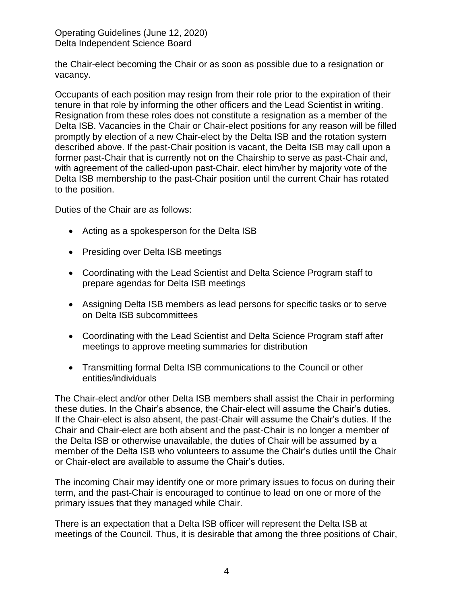the Chair-elect becoming the Chair or as soon as possible due to a resignation or vacancy.

Occupants of each position may resign from their role prior to the expiration of their tenure in that role by informing the other officers and the Lead Scientist in writing. Resignation from these roles does not constitute a resignation as a member of the Delta ISB. Vacancies in the Chair or Chair-elect positions for any reason will be filled promptly by election of a new Chair-elect by the Delta ISB and the rotation system described above. If the past-Chair position is vacant, the Delta ISB may call upon a former past-Chair that is currently not on the Chairship to serve as past-Chair and, with agreement of the called-upon past-Chair, elect him/her by majority vote of the Delta ISB membership to the past-Chair position until the current Chair has rotated to the position.

Duties of the Chair are as follows:

- Acting as a spokesperson for the Delta ISB
- Presiding over Delta ISB meetings
- Coordinating with the Lead Scientist and Delta Science Program staff to prepare agendas for Delta ISB meetings
- Assigning Delta ISB members as lead persons for specific tasks or to serve on Delta ISB subcommittees
- Coordinating with the Lead Scientist and Delta Science Program staff after meetings to approve meeting summaries for distribution
- Transmitting formal Delta ISB communications to the Council or other entities/individuals

The Chair-elect and/or other Delta ISB members shall assist the Chair in performing these duties. In the Chair's absence, the Chair-elect will assume the Chair's duties. If the Chair-elect is also absent, the past-Chair will assume the Chair's duties. If the Chair and Chair-elect are both absent and the past-Chair is no longer a member of the Delta ISB or otherwise unavailable, the duties of Chair will be assumed by a member of the Delta ISB who volunteers to assume the Chair's duties until the Chair or Chair-elect are available to assume the Chair's duties.

The incoming Chair may identify one or more primary issues to focus on during their term, and the past-Chair is encouraged to continue to lead on one or more of the primary issues that they managed while Chair.

There is an expectation that a Delta ISB officer will represent the Delta ISB at meetings of the Council. Thus, it is desirable that among the three positions of Chair,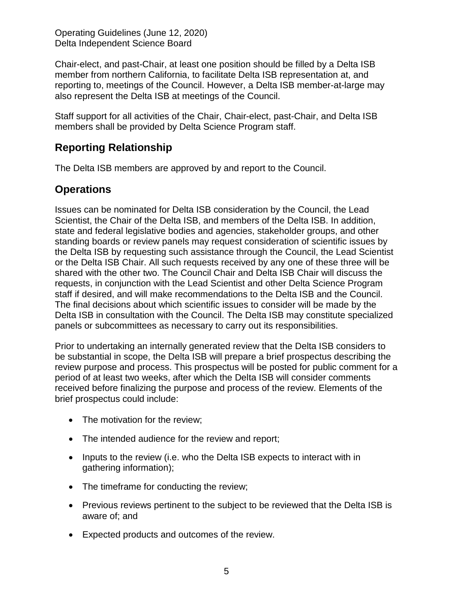Chair-elect, and past-Chair, at least one position should be filled by a Delta ISB member from northern California, to facilitate Delta ISB representation at, and reporting to, meetings of the Council. However, a Delta ISB member-at-large may also represent the Delta ISB at meetings of the Council.

Staff support for all activities of the Chair, Chair-elect, past-Chair, and Delta ISB members shall be provided by Delta Science Program staff.

## **Reporting Relationship**

The Delta ISB members are approved by and report to the Council.

### **Operations**

Issues can be nominated for Delta ISB consideration by the Council, the Lead Scientist, the Chair of the Delta ISB, and members of the Delta ISB. In addition, state and federal legislative bodies and agencies, stakeholder groups, and other standing boards or review panels may request consideration of scientific issues by the Delta ISB by requesting such assistance through the Council, the Lead Scientist or the Delta ISB Chair. All such requests received by any one of these three will be shared with the other two. The Council Chair and Delta ISB Chair will discuss the requests, in conjunction with the Lead Scientist and other Delta Science Program staff if desired, and will make recommendations to the Delta ISB and the Council. The final decisions about which scientific issues to consider will be made by the Delta ISB in consultation with the Council. The Delta ISB may constitute specialized panels or subcommittees as necessary to carry out its responsibilities.

Prior to undertaking an internally generated review that the Delta ISB considers to be substantial in scope, the Delta ISB will prepare a brief prospectus describing the review purpose and process. This prospectus will be posted for public comment for a period of at least two weeks, after which the Delta ISB will consider comments received before finalizing the purpose and process of the review. Elements of the brief prospectus could include:

- The motivation for the review;
- The intended audience for the review and report;
- Inputs to the review (i.e. who the Delta ISB expects to interact with in gathering information);
- The timeframe for conducting the review;
- Previous reviews pertinent to the subject to be reviewed that the Delta ISB is aware of; and
- Expected products and outcomes of the review.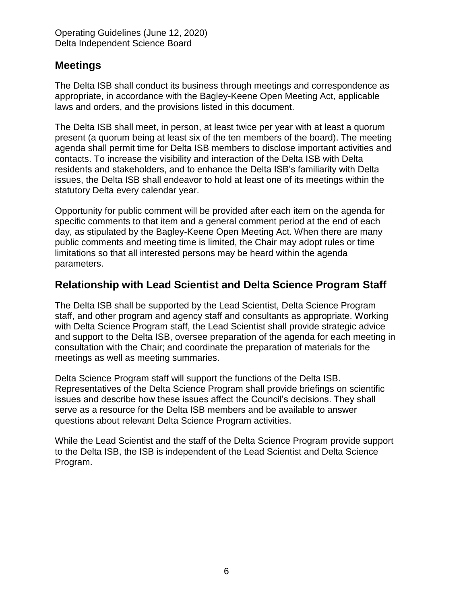### **Meetings**

The Delta ISB shall conduct its business through meetings and correspondence as appropriate, in accordance with the Bagley-Keene Open Meeting Act, applicable laws and orders, and the provisions listed in this document.

The Delta ISB shall meet, in person, at least twice per year with at least a quorum present (a quorum being at least six of the ten members of the board). The meeting agenda shall permit time for Delta ISB members to disclose important activities and contacts. To increase the visibility and interaction of the Delta ISB with Delta residents and stakeholders, and to enhance the Delta ISB's familiarity with Delta issues, the Delta ISB shall endeavor to hold at least one of its meetings within the statutory Delta every calendar year.

Opportunity for public comment will be provided after each item on the agenda for specific comments to that item and a general comment period at the end of each day, as stipulated by the Bagley-Keene Open Meeting Act. When there are many public comments and meeting time is limited, the Chair may adopt rules or time limitations so that all interested persons may be heard within the agenda parameters.

## **Relationship with Lead Scientist and Delta Science Program Staff**

The Delta ISB shall be supported by the Lead Scientist, Delta Science Program staff, and other program and agency staff and consultants as appropriate. Working with Delta Science Program staff, the Lead Scientist shall provide strategic advice and support to the Delta ISB, oversee preparation of the agenda for each meeting in consultation with the Chair; and coordinate the preparation of materials for the meetings as well as meeting summaries.

Delta Science Program staff will support the functions of the Delta ISB. Representatives of the Delta Science Program shall provide briefings on scientific issues and describe how these issues affect the Council's decisions. They shall serve as a resource for the Delta ISB members and be available to answer questions about relevant Delta Science Program activities.

While the Lead Scientist and the staff of the Delta Science Program provide support to the Delta ISB, the ISB is independent of the Lead Scientist and Delta Science Program.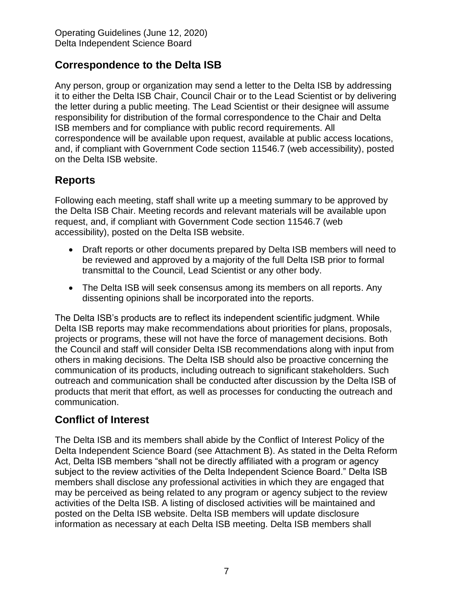## **Correspondence to the Delta ISB**

Any person, group or organization may send a letter to the Delta ISB by addressing it to either the Delta ISB Chair, Council Chair or to the Lead Scientist or by delivering the letter during a public meeting. The Lead Scientist or their designee will assume responsibility for distribution of the formal correspondence to the Chair and Delta ISB members and for compliance with public record requirements. All correspondence will be available upon request, available at public access locations, and, if compliant with Government Code section 11546.7 (web accessibility), posted on the Delta ISB website.

## **Reports**

Following each meeting, staff shall write up a meeting summary to be approved by the Delta ISB Chair. Meeting records and relevant materials will be available upon request, and, if compliant with Government Code section 11546.7 (web accessibility), posted on the Delta ISB website.

- Draft reports or other documents prepared by Delta ISB members will need to be reviewed and approved by a majority of the full Delta ISB prior to formal transmittal to the Council, Lead Scientist or any other body.
- The Delta ISB will seek consensus among its members on all reports. Any dissenting opinions shall be incorporated into the reports.

The Delta ISB's products are to reflect its independent scientific judgment. While Delta ISB reports may make recommendations about priorities for plans, proposals, projects or programs, these will not have the force of management decisions. Both the Council and staff will consider Delta ISB recommendations along with input from others in making decisions. The Delta ISB should also be proactive concerning the communication of its products, including outreach to significant stakeholders. Such outreach and communication shall be conducted after discussion by the Delta ISB of products that merit that effort, as well as processes for conducting the outreach and communication.

## **Conflict of Interest**

The Delta ISB and its members shall abide by the Conflict of Interest Policy of the Delta Independent Science Board (see Attachment B). As stated in the Delta Reform Act, Delta ISB members "shall not be directly affiliated with a program or agency subject to the review activities of the Delta Independent Science Board." Delta ISB members shall disclose any professional activities in which they are engaged that may be perceived as being related to any program or agency subject to the review activities of the Delta ISB. A listing of disclosed activities will be maintained and posted on the Delta ISB website. Delta ISB members will update disclosure information as necessary at each Delta ISB meeting. Delta ISB members shall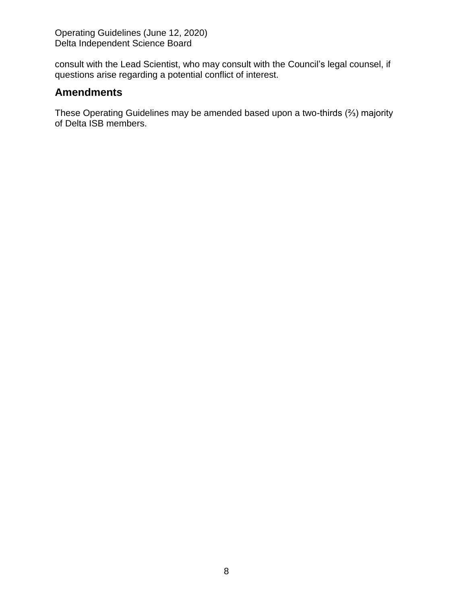consult with the Lead Scientist, who may consult with the Council's legal counsel, if questions arise regarding a potential conflict of interest.

### **Amendments**

These Operating Guidelines may be amended based upon a two-thirds (⅔) majority of Delta ISB members.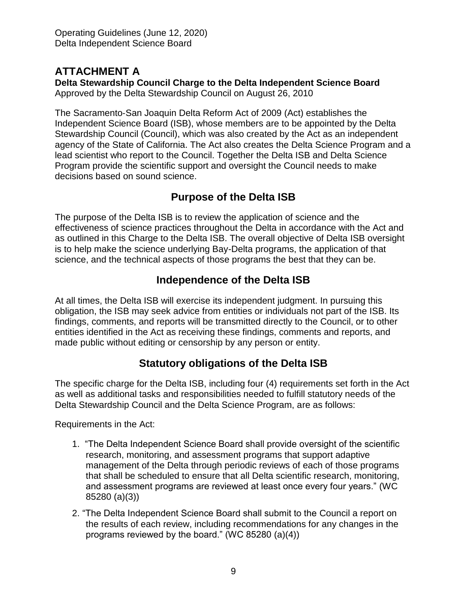### **ATTACHMENT A**

**Delta Stewardship Council Charge to the Delta Independent Science Board** Approved by the Delta Stewardship Council on August 26, 2010

The Sacramento‐San Joaquin Delta Reform Act of 2009 (Act) establishes the Independent Science Board (ISB), whose members are to be appointed by the Delta Stewardship Council (Council), which was also created by the Act as an independent agency of the State of California. The Act also creates the Delta Science Program and a lead scientist who report to the Council. Together the Delta ISB and Delta Science Program provide the scientific support and oversight the Council needs to make decisions based on sound science.

### **Purpose of the Delta ISB**

The purpose of the Delta ISB is to review the application of science and the effectiveness of science practices throughout the Delta in accordance with the Act and as outlined in this Charge to the Delta ISB. The overall objective of Delta ISB oversight is to help make the science underlying Bay-Delta programs, the application of that science, and the technical aspects of those programs the best that they can be.

## **Independence of the Delta ISB**

At all times, the Delta ISB will exercise its independent judgment. In pursuing this obligation, the ISB may seek advice from entities or individuals not part of the ISB. Its findings, comments, and reports will be transmitted directly to the Council, or to other entities identified in the Act as receiving these findings, comments and reports, and made public without editing or censorship by any person or entity.

## **Statutory obligations of the Delta ISB**

The specific charge for the Delta ISB, including four (4) requirements set forth in the Act as well as additional tasks and responsibilities needed to fulfill statutory needs of the Delta Stewardship Council and the Delta Science Program, are as follows:

Requirements in the Act:

- 1. "The Delta Independent Science Board shall provide oversight of the scientific research, monitoring, and assessment programs that support adaptive management of the Delta through periodic reviews of each of those programs that shall be scheduled to ensure that all Delta scientific research, monitoring, and assessment programs are reviewed at least once every four years." (WC 85280 (a)(3))
- 2. "The Delta Independent Science Board shall submit to the Council a report on the results of each review, including recommendations for any changes in the programs reviewed by the board." (WC 85280 (a)(4))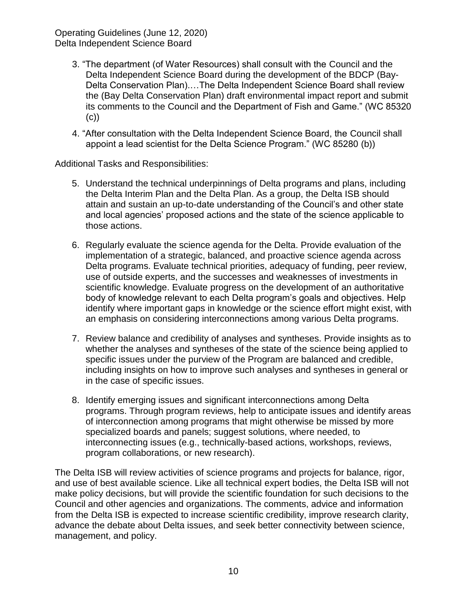- 3. "The department (of Water Resources) shall consult with the Council and the Delta Independent Science Board during the development of the BDCP (Bay-Delta Conservation Plan).…The Delta Independent Science Board shall review the (Bay Delta Conservation Plan) draft environmental impact report and submit its comments to the Council and the Department of Fish and Game." (WC 85320 (c))
- 4. "After consultation with the Delta Independent Science Board, the Council shall appoint a lead scientist for the Delta Science Program." (WC 85280 (b))

Additional Tasks and Responsibilities:

- 5. Understand the technical underpinnings of Delta programs and plans, including the Delta Interim Plan and the Delta Plan. As a group, the Delta ISB should attain and sustain an up-to-date understanding of the Council's and other state and local agencies' proposed actions and the state of the science applicable to those actions.
- 6. Regularly evaluate the science agenda for the Delta. Provide evaluation of the implementation of a strategic, balanced, and proactive science agenda across Delta programs. Evaluate technical priorities, adequacy of funding, peer review, use of outside experts, and the successes and weaknesses of investments in scientific knowledge. Evaluate progress on the development of an authoritative body of knowledge relevant to each Delta program's goals and objectives. Help identify where important gaps in knowledge or the science effort might exist, with an emphasis on considering interconnections among various Delta programs.
- 7. Review balance and credibility of analyses and syntheses. Provide insights as to whether the analyses and syntheses of the state of the science being applied to specific issues under the purview of the Program are balanced and credible, including insights on how to improve such analyses and syntheses in general or in the case of specific issues.
- 8. Identify emerging issues and significant interconnections among Delta programs. Through program reviews, help to anticipate issues and identify areas of interconnection among programs that might otherwise be missed by more specialized boards and panels; suggest solutions, where needed, to interconnecting issues (e.g., technically-based actions, workshops, reviews, program collaborations, or new research).

The Delta ISB will review activities of science programs and projects for balance, rigor, and use of best available science. Like all technical expert bodies, the Delta ISB will not make policy decisions, but will provide the scientific foundation for such decisions to the Council and other agencies and organizations. The comments, advice and information from the Delta ISB is expected to increase scientific credibility, improve research clarity, advance the debate about Delta issues, and seek better connectivity between science, management, and policy.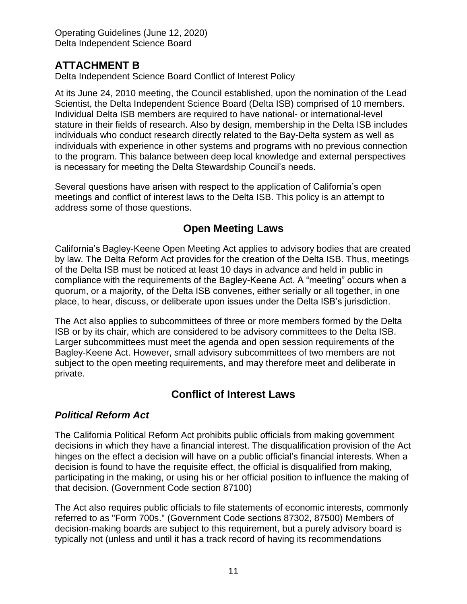### **ATTACHMENT B**

Delta Independent Science Board Conflict of Interest Policy

At its June 24, 2010 meeting, the Council established, upon the nomination of the Lead Scientist, the Delta Independent Science Board (Delta ISB) comprised of 10 members. Individual Delta ISB members are required to have national- or international-level stature in their fields of research. Also by design, membership in the Delta ISB includes individuals who conduct research directly related to the Bay-Delta system as well as individuals with experience in other systems and programs with no previous connection to the program. This balance between deep local knowledge and external perspectives is necessary for meeting the Delta Stewardship Council's needs.

Several questions have arisen with respect to the application of California's open meetings and conflict of interest laws to the Delta ISB. This policy is an attempt to address some of those questions.

### **Open Meeting Laws**

California's Bagley-Keene Open Meeting Act applies to advisory bodies that are created by law. The Delta Reform Act provides for the creation of the Delta ISB. Thus, meetings of the Delta ISB must be noticed at least 10 days in advance and held in public in compliance with the requirements of the Bagley-Keene Act. A "meeting" occurs when a quorum, or a majority, of the Delta ISB convenes, either serially or all together, in one place, to hear, discuss, or deliberate upon issues under the Delta ISB's jurisdiction.

The Act also applies to subcommittees of three or more members formed by the Delta ISB or by its chair, which are considered to be advisory committees to the Delta ISB. Larger subcommittees must meet the agenda and open session requirements of the Bagley-Keene Act. However, small advisory subcommittees of two members are not subject to the open meeting requirements, and may therefore meet and deliberate in private.

## **Conflict of Interest Laws**

### *Political Reform Act*

The California Political Reform Act prohibits public officials from making government decisions in which they have a financial interest. The disqualification provision of the Act hinges on the effect a decision will have on a public official's financial interests. When a decision is found to have the requisite effect, the official is disqualified from making, participating in the making, or using his or her official position to influence the making of that decision. (Government Code section 87100)

The Act also requires public officials to file statements of economic interests, commonly referred to as "Form 700s." (Government Code sections 87302, 87500) Members of decision-making boards are subject to this requirement, but a purely advisory board is typically not (unless and until it has a track record of having its recommendations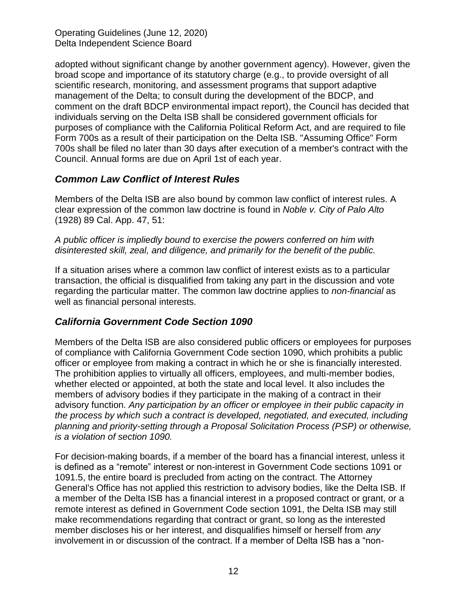adopted without significant change by another government agency). However, given the broad scope and importance of its statutory charge (e.g., to provide oversight of all scientific research, monitoring, and assessment programs that support adaptive management of the Delta; to consult during the development of the BDCP, and comment on the draft BDCP environmental impact report), the Council has decided that individuals serving on the Delta ISB shall be considered government officials for purposes of compliance with the California Political Reform Act, and are required to file Form 700s as a result of their participation on the Delta ISB. "Assuming Office" Form 700s shall be filed no later than 30 days after execution of a member's contract with the Council. Annual forms are due on April 1st of each year.

#### *Common Law Conflict of Interest Rules*

Members of the Delta ISB are also bound by common law conflict of interest rules. A clear expression of the common law doctrine is found in *Noble v. City of Palo Alto* (1928) 89 Cal. App. 47, 51:

#### *A public officer is impliedly bound to exercise the powers conferred on him with disinterested skill, zeal, and diligence, and primarily for the benefit of the public.*

If a situation arises where a common law conflict of interest exists as to a particular transaction, the official is disqualified from taking any part in the discussion and vote regarding the particular matter. The common law doctrine applies to *non-financial* as well as financial personal interests.

### *California Government Code Section 1090*

Members of the Delta ISB are also considered public officers or employees for purposes of compliance with California Government Code section 1090, which prohibits a public officer or employee from making a contract in which he or she is financially interested. The prohibition applies to virtually all officers, employees, and multi-member bodies, whether elected or appointed, at both the state and local level. It also includes the members of advisory bodies if they participate in the making of a contract in their advisory function. *Any participation by an officer or employee in their public capacity in the process by which such a contract is developed, negotiated, and executed, including planning and priority-setting through a Proposal Solicitation Process (PSP) or otherwise, is a violation of section 1090.*

For decision-making boards, if a member of the board has a financial interest, unless it is defined as a "remote" interest or non-interest in Government Code sections 1091 or 1091.5, the entire board is precluded from acting on the contract. The Attorney General's Office has not applied this restriction to advisory bodies, like the Delta ISB. If a member of the Delta ISB has a financial interest in a proposed contract or grant, or a remote interest as defined in Government Code section 1091, the Delta ISB may still make recommendations regarding that contract or grant, so long as the interested member discloses his or her interest, and disqualifies himself or herself from *any* involvement in or discussion of the contract. If a member of Delta ISB has a "non-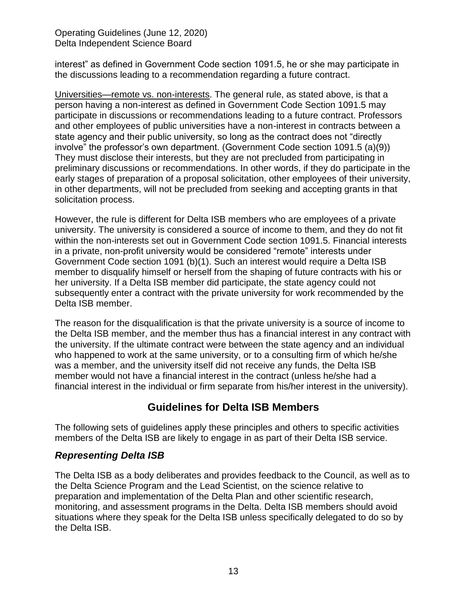interest" as defined in Government Code section 1091.5, he or she may participate in the discussions leading to a recommendation regarding a future contract.

Universities—remote vs. non-interests. The general rule, as stated above, is that a person having a non-interest as defined in Government Code Section 1091.5 may participate in discussions or recommendations leading to a future contract. Professors and other employees of public universities have a non-interest in contracts between a state agency and their public university, so long as the contract does not "directly involve" the professor's own department. (Government Code section 1091.5 (a)(9)) They must disclose their interests, but they are not precluded from participating in preliminary discussions or recommendations. In other words, if they do participate in the early stages of preparation of a proposal solicitation, other employees of their university, in other departments, will not be precluded from seeking and accepting grants in that solicitation process.

However, the rule is different for Delta ISB members who are employees of a private university. The university is considered a source of income to them, and they do not fit within the non-interests set out in Government Code section 1091.5. Financial interests in a private, non-profit university would be considered "remote" interests under Government Code section 1091 (b)(1). Such an interest would require a Delta ISB member to disqualify himself or herself from the shaping of future contracts with his or her university. If a Delta ISB member did participate, the state agency could not subsequently enter a contract with the private university for work recommended by the Delta ISB member.

The reason for the disqualification is that the private university is a source of income to the Delta ISB member, and the member thus has a financial interest in any contract with the university. If the ultimate contract were between the state agency and an individual who happened to work at the same university, or to a consulting firm of which he/she was a member, and the university itself did not receive any funds, the Delta ISB member would not have a financial interest in the contract (unless he/she had a financial interest in the individual or firm separate from his/her interest in the university).

### **Guidelines for Delta ISB Members**

The following sets of guidelines apply these principles and others to specific activities members of the Delta ISB are likely to engage in as part of their Delta ISB service.

### *Representing Delta ISB*

The Delta ISB as a body deliberates and provides feedback to the Council, as well as to the Delta Science Program and the Lead Scientist, on the science relative to preparation and implementation of the Delta Plan and other scientific research, monitoring, and assessment programs in the Delta. Delta ISB members should avoid situations where they speak for the Delta ISB unless specifically delegated to do so by the Delta ISB.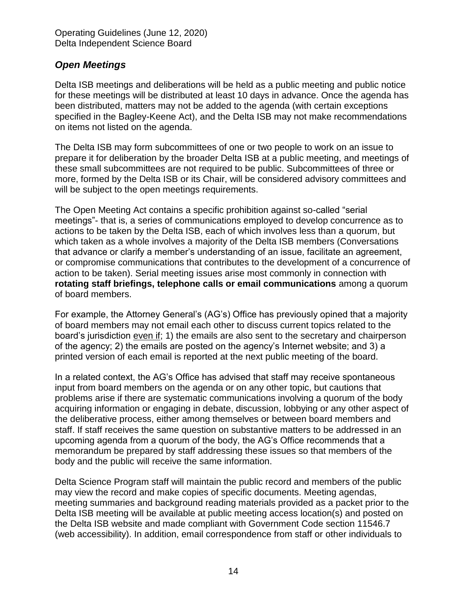#### *Open Meetings*

Delta ISB meetings and deliberations will be held as a public meeting and public notice for these meetings will be distributed at least 10 days in advance. Once the agenda has been distributed, matters may not be added to the agenda (with certain exceptions specified in the Bagley-Keene Act), and the Delta ISB may not make recommendations on items not listed on the agenda.

The Delta ISB may form subcommittees of one or two people to work on an issue to prepare it for deliberation by the broader Delta ISB at a public meeting, and meetings of these small subcommittees are not required to be public. Subcommittees of three or more, formed by the Delta ISB or its Chair, will be considered advisory committees and will be subject to the open meetings requirements.

The Open Meeting Act contains a specific prohibition against so-called "serial meetings"- that is, a series of communications employed to develop concurrence as to actions to be taken by the Delta ISB, each of which involves less than a quorum, but which taken as a whole involves a majority of the Delta ISB members (Conversations that advance or clarify a member's understanding of an issue, facilitate an agreement, or compromise communications that contributes to the development of a concurrence of action to be taken). Serial meeting issues arise most commonly in connection with **rotating staff briefings, telephone calls or email communications** among a quorum of board members.

For example, the Attorney General's (AG's) Office has previously opined that a majority of board members may not email each other to discuss current topics related to the board's jurisdiction even if; 1) the emails are also sent to the secretary and chairperson of the agency; 2) the emails are posted on the agency's Internet website; and 3) a printed version of each email is reported at the next public meeting of the board.

In a related context, the AG's Office has advised that staff may receive spontaneous input from board members on the agenda or on any other topic, but cautions that problems arise if there are systematic communications involving a quorum of the body acquiring information or engaging in debate, discussion, lobbying or any other aspect of the deliberative process, either among themselves or between board members and staff. If staff receives the same question on substantive matters to be addressed in an upcoming agenda from a quorum of the body, the AG's Office recommends that a memorandum be prepared by staff addressing these issues so that members of the body and the public will receive the same information.

Delta Science Program staff will maintain the public record and members of the public may view the record and make copies of specific documents. Meeting agendas, meeting summaries and background reading materials provided as a packet prior to the Delta ISB meeting will be available at public meeting access location(s) and posted on the Delta ISB website and made compliant with Government Code section 11546.7 (web accessibility). In addition, email correspondence from staff or other individuals to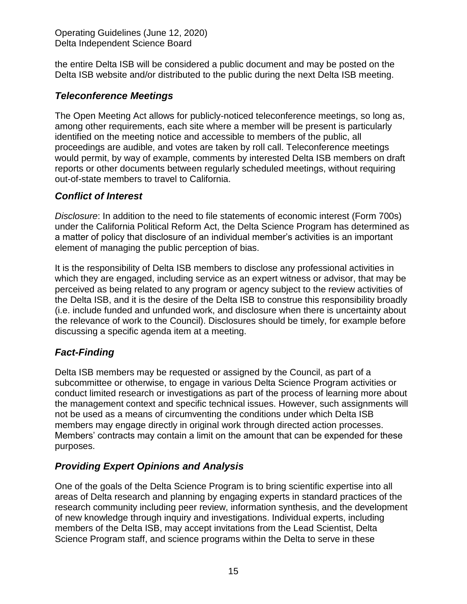the entire Delta ISB will be considered a public document and may be posted on the Delta ISB website and/or distributed to the public during the next Delta ISB meeting.

#### *Teleconference Meetings*

The Open Meeting Act allows for publicly-noticed teleconference meetings, so long as, among other requirements, each site where a member will be present is particularly identified on the meeting notice and accessible to members of the public, all proceedings are audible, and votes are taken by roll call. Teleconference meetings would permit, by way of example, comments by interested Delta ISB members on draft reports or other documents between regularly scheduled meetings, without requiring out-of-state members to travel to California.

### *Conflict of Interest*

*Disclosure*: In addition to the need to file statements of economic interest (Form 700s) under the California Political Reform Act, the Delta Science Program has determined as a matter of policy that disclosure of an individual member's activities is an important element of managing the public perception of bias.

It is the responsibility of Delta ISB members to disclose any professional activities in which they are engaged, including service as an expert witness or advisor, that may be perceived as being related to any program or agency subject to the review activities of the Delta ISB, and it is the desire of the Delta ISB to construe this responsibility broadly (i.e. include funded and unfunded work, and disclosure when there is uncertainty about the relevance of work to the Council). Disclosures should be timely, for example before discussing a specific agenda item at a meeting.

### *Fact-Finding*

Delta ISB members may be requested or assigned by the Council, as part of a subcommittee or otherwise, to engage in various Delta Science Program activities or conduct limited research or investigations as part of the process of learning more about the management context and specific technical issues. However, such assignments will not be used as a means of circumventing the conditions under which Delta ISB members may engage directly in original work through directed action processes. Members' contracts may contain a limit on the amount that can be expended for these purposes.

### *Providing Expert Opinions and Analysis*

One of the goals of the Delta Science Program is to bring scientific expertise into all areas of Delta research and planning by engaging experts in standard practices of the research community including peer review, information synthesis, and the development of new knowledge through inquiry and investigations. Individual experts, including members of the Delta ISB, may accept invitations from the Lead Scientist, Delta Science Program staff, and science programs within the Delta to serve in these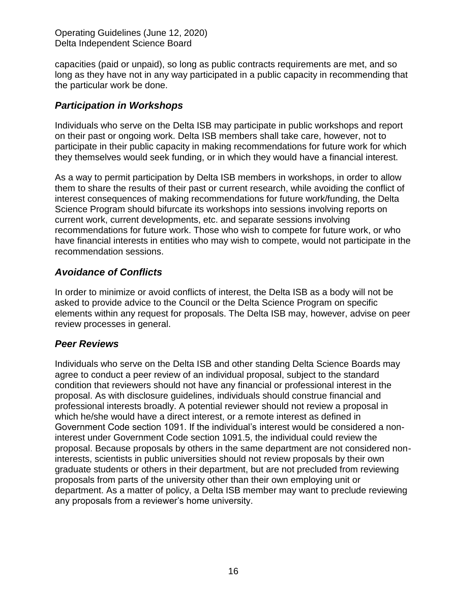capacities (paid or unpaid), so long as public contracts requirements are met, and so long as they have not in any way participated in a public capacity in recommending that the particular work be done.

#### *Participation in Workshops*

Individuals who serve on the Delta ISB may participate in public workshops and report on their past or ongoing work. Delta ISB members shall take care, however, not to participate in their public capacity in making recommendations for future work for which they themselves would seek funding, or in which they would have a financial interest.

As a way to permit participation by Delta ISB members in workshops, in order to allow them to share the results of their past or current research, while avoiding the conflict of interest consequences of making recommendations for future work/funding, the Delta Science Program should bifurcate its workshops into sessions involving reports on current work, current developments, etc. and separate sessions involving recommendations for future work. Those who wish to compete for future work, or who have financial interests in entities who may wish to compete, would not participate in the recommendation sessions.

### *Avoidance of Conflicts*

In order to minimize or avoid conflicts of interest, the Delta ISB as a body will not be asked to provide advice to the Council or the Delta Science Program on specific elements within any request for proposals. The Delta ISB may, however, advise on peer review processes in general.

#### *Peer Reviews*

Individuals who serve on the Delta ISB and other standing Delta Science Boards may agree to conduct a peer review of an individual proposal, subject to the standard condition that reviewers should not have any financial or professional interest in the proposal. As with disclosure guidelines, individuals should construe financial and professional interests broadly. A potential reviewer should not review a proposal in which he/she would have a direct interest, or a remote interest as defined in Government Code section 1091. If the individual's interest would be considered a noninterest under Government Code section 1091.5, the individual could review the proposal. Because proposals by others in the same department are not considered noninterests, scientists in public universities should not review proposals by their own graduate students or others in their department, but are not precluded from reviewing proposals from parts of the university other than their own employing unit or department. As a matter of policy, a Delta ISB member may want to preclude reviewing any proposals from a reviewer's home university.